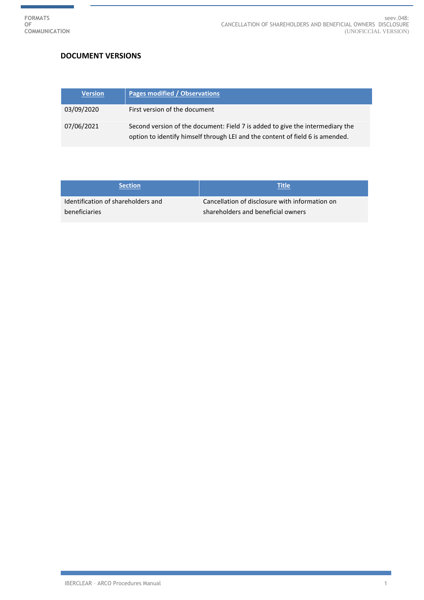ŧ

## **DOCUMENT VERSIONS**

| <b>Version</b> | <b>Pages modified / Observations</b>                                                                                                                           |
|----------------|----------------------------------------------------------------------------------------------------------------------------------------------------------------|
| 03/09/2020     | First version of the document                                                                                                                                  |
| 07/06/2021     | Second version of the document: Field 7 is added to give the intermediary the<br>option to identify himself through LEI and the content of field 6 is amended. |

| <b>Section</b>                     | Title                                          |
|------------------------------------|------------------------------------------------|
| Identification of shareholders and | Cancellation of disclosure with information on |
| beneficiaries                      | shareholders and beneficial owners             |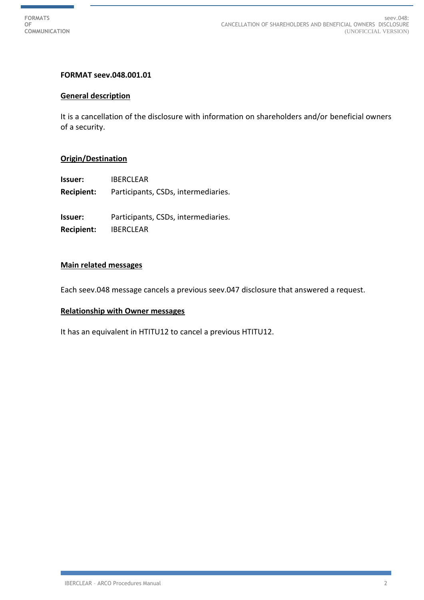

## **FORMAT seev.048.001.01**

### **General description**

It is a cancellation of the disclosure with information on shareholders and/or beneficial owners of a security.

### **Origin/Destination**

**Issuer:** IBERCLEAR

**Recipient:** Participants, CSDs, intermediaries.

**Issuer:** Participants, CSDs, intermediaries.

**Recipient:** IBERCLEAR

## **Main related messages**

Each seev.048 message cancels a previous seev.047 disclosure that answered a request.

#### **Relationship with Owner messages**

It has an equivalent in HTITU12 to cancel a previous HTITU12.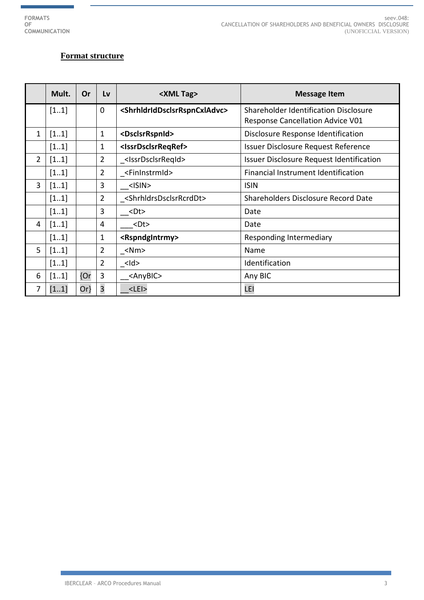# **Format structure**

|                | Mult. | Or     | Lv             | <xml tag=""></xml>                                        | <b>Message Item</b>                      |
|----------------|-------|--------|----------------|-----------------------------------------------------------|------------------------------------------|
|                | [11]  |        | $\mathbf 0$    | <shrhldriddsclsrrspncxladvc></shrhldriddsclsrrspncxladvc> | Shareholder Identification Disclosure    |
|                |       |        |                |                                                           | <b>Response Cancellation Advice V01</b>  |
| 1              | [11]  |        | $\mathbf{1}$   | <dsclsrrspnid></dsclsrrspnid>                             | Disclosure Response Identification       |
|                | [11]  |        | $\mathbf{1}$   | <issrdsclsrreqref></issrdsclsrreqref>                     | Issuer Disclosure Request Reference      |
| $\overline{2}$ | [11]  |        | $\overline{2}$ | _ <lssrdsclsrreqid></lssrdsclsrreqid>                     | Issuer Disclosure Request Identification |
|                | [11]  |        | $\overline{2}$ | <fininstrmid></fininstrmid>                               | Financial Instrument Identification      |
| 3              | [11]  |        | 3              | <isin></isin>                                             | <b>ISIN</b>                              |
|                | [11]  |        | $\overline{2}$ | <shrhldrsdsclsrrcrddt></shrhldrsdsclsrrcrddt>             | Shareholders Disclosure Record Date      |
|                | [11]  |        | 3              | <dt></dt>                                                 | Date                                     |
| 4              | [11]  |        | 4              | $<$ Dt $>$                                                | Date                                     |
|                | [11]  |        | $\mathbf{1}$   | <rspndgintrmy></rspndgintrmy>                             | Responding Intermediary                  |
| 5              | [11]  |        | $\overline{2}$ | $\angle$ Nm>                                              | Name                                     |
|                | [11]  |        | $\overline{2}$ | <ld></ld>                                                 | Identification                           |
| 6              | [11]  | {Or    | 3              | <anybic></anybic>                                         | Any BIC                                  |
| 7              | [11]  | $Or\}$ | $\overline{3}$ | $<$ LEI $>$                                               | LEI                                      |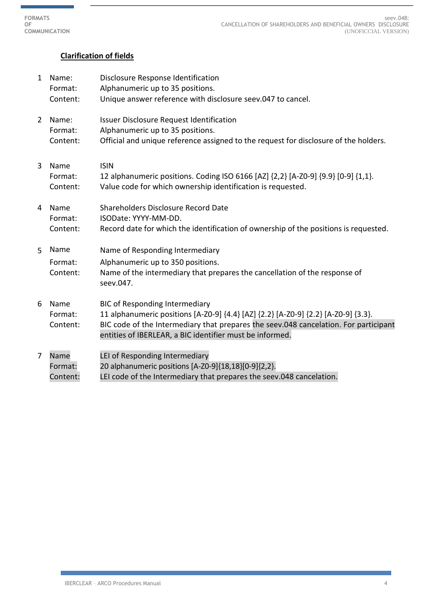**FORMATS OF COMMUNICATION**

# **Clarification of fields**

| $\mathbf{1}$   | Name:               | Disclosure Response Identification                                                                                                               |
|----------------|---------------------|--------------------------------------------------------------------------------------------------------------------------------------------------|
|                | Format:             | Alphanumeric up to 35 positions.                                                                                                                 |
|                | Content:            | Unique answer reference with disclosure seev.047 to cancel.                                                                                      |
| $\overline{2}$ | Name:               | <b>Issuer Disclosure Request Identification</b>                                                                                                  |
|                | Format:             | Alphanumeric up to 35 positions.                                                                                                                 |
|                | Content:            | Official and unique reference assigned to the request for disclosure of the holders.                                                             |
| 3              | Name                | <b>ISIN</b>                                                                                                                                      |
|                | Format:<br>Content: | 12 alphanumeric positions. Coding ISO 6166 [AZ] {2,2} [A-ZO-9] {9.9} [0-9] {1,1}.<br>Value code for which ownership identification is requested. |
| 4              | Name                | Shareholders Disclosure Record Date                                                                                                              |
|                | Format:             | ISODate: YYYY-MM-DD.                                                                                                                             |
|                | Content:            | Record date for which the identification of ownership of the positions is requested.                                                             |
| 5              | Name                | Name of Responding Intermediary                                                                                                                  |
|                | Format:             | Alphanumeric up to 350 positions.                                                                                                                |
|                | Content:            | Name of the intermediary that prepares the cancellation of the response of<br>seev.047.                                                          |
| 6              | Name                | <b>BIC of Responding Intermediary</b>                                                                                                            |
|                | Format:             | 11 alphanumeric positions [A-Z0-9] {4.4} [AZ] {2.2} [A-Z0-9] {2.2} [A-Z0-9] {3.3}.                                                               |
|                | Content:            | BIC code of the Intermediary that prepares the seev.048 cancelation. For participant<br>entities of IBERLEAR, a BIC identifier must be informed. |
|                |                     |                                                                                                                                                  |
| 7              | Name                | LEI of Responding Intermediary                                                                                                                   |
|                | Format:             | 20 alphanumeric positions [A-Z0-9]{18,18}[0-9]{2,2}.                                                                                             |
|                | Content:            | LEI code of the Intermediary that prepares the seev.048 cancelation.                                                                             |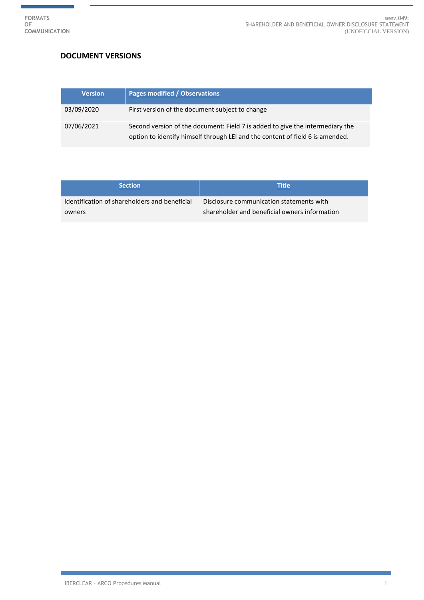ŧ

## **DOCUMENT VERSIONS**

| <b>Version</b> | Pages modified / Observations                                                                                                                                  |
|----------------|----------------------------------------------------------------------------------------------------------------------------------------------------------------|
| 03/09/2020     | First version of the document subject to change                                                                                                                |
| 07/06/2021     | Second version of the document: Field 7 is added to give the intermediary the<br>option to identify himself through LEI and the content of field 6 is amended. |

| <b>Section</b>                                | Title                                         |
|-----------------------------------------------|-----------------------------------------------|
| Identification of shareholders and beneficial | Disclosure communication statements with      |
| owners                                        | shareholder and beneficial owners information |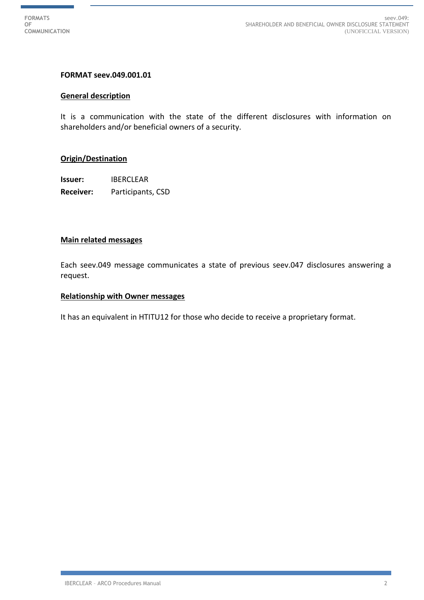## **FORMAT seev.049.001.01**

#### **General description**

It is a communication with the state of the different disclosures with information on shareholders and/or beneficial owners of a security.

### **Origin/Destination**

**Issuer:** IBERCLEAR **Receiver:** Participants, CSD

### **Main related messages**

Each seev.049 message communicates a state of previous seev.047 disclosures answering a request.

### **Relationship with Owner messages**

It has an equivalent in HTITU12 for those who decide to receive a proprietary format.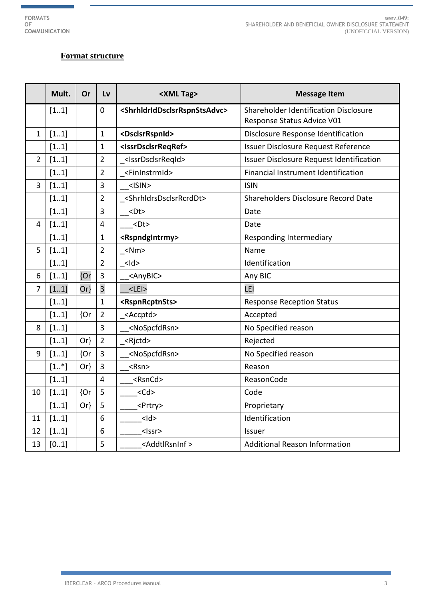# **Format structure**

|                | Mult.  | Or     | Lv                      | <xml tag=""></xml>                                        | <b>Message Item</b>                      |
|----------------|--------|--------|-------------------------|-----------------------------------------------------------|------------------------------------------|
|                | [11]   |        | $\mathbf 0$             | <shrhldriddsclsrrspnstsadvc></shrhldriddsclsrrspnstsadvc> | Shareholder Identification Disclosure    |
|                |        |        |                         |                                                           | Response Status Advice V01               |
| 1              | [11]   |        | $\mathbf 1$             | <dsclsrrspnid></dsclsrrspnid>                             | Disclosure Response Identification       |
|                | [11]   |        | $\mathbf 1$             | <issrdsclsrreqref></issrdsclsrreqref>                     | Issuer Disclosure Request Reference      |
| $\overline{2}$ | [11]   |        | $\overline{2}$          | <lssrdsclsrreqid></lssrdsclsrreqid>                       | Issuer Disclosure Request Identification |
|                | [11]   |        | $\overline{2}$          | <fininstrmid></fininstrmid>                               | Financial Instrument Identification      |
| 3              | [11]   |        | 3                       | $<$ ISIN $>$                                              | <b>ISIN</b>                              |
|                | [11]   |        | $\overline{2}$          | <shrhldrsdsclsrrcrddt></shrhldrsdsclsrrcrddt>             | Shareholders Disclosure Record Date      |
|                | [11]   |        | 3                       | $<$ Dt $>$                                                | Date                                     |
| 4              | [11]   |        | $\overline{\mathbf{4}}$ | $<$ Dt $>$                                                | Date                                     |
|                | [11]   |        | $\mathbf 1$             | <rspndgintrmy></rspndgintrmy>                             | Responding Intermediary                  |
| 5              | [11]   |        | $\overline{2}$          | $<$ Nm $>$                                                | Name                                     |
|                | [11]   |        | $\overline{2}$          | $<$ ld>                                                   | Identification                           |
| 6              | [11]   | {Or    | $\overline{3}$          | <anybic></anybic>                                         | Any BIC                                  |
| $\overline{7}$ | [11]   | $Or\}$ | $\overline{\mathbf{3}}$ | $<$ LEI $>$                                               | LEI                                      |
|                | [11]   |        | $\mathbf 1$             | <rspnrcptnsts></rspnrcptnsts>                             | <b>Response Reception Status</b>         |
|                | [11]   | {Or    | $\overline{2}$          | <accptd></accptd>                                         | Accepted                                 |
| 8              | [11]   |        | $\overline{3}$          | <nospcfdrsn></nospcfdrsn>                                 | No Specified reason                      |
|                | [11]   | $Or\}$ | $\overline{2}$          | <rjctd></rjctd>                                           | Rejected                                 |
| 9              | [11]   | {Or    | $\overline{3}$          | <nospcfdrsn></nospcfdrsn>                                 | No Specified reason                      |
|                | $[1*]$ | $Or\}$ | 3                       | <rsn></rsn>                                               | Reason                                   |
|                | [11]   |        | $\overline{4}$          | <rsncd></rsncd>                                           | ReasonCode                               |
| 10             | [11]   | {Or    | 5                       | $<$ Cd $>$                                                | Code                                     |
|                | [11]   | $Or\}$ | 5                       | <prtry></prtry>                                           | Proprietary                              |
| 11             | [11]   |        | 6                       | $<$ Id $>$                                                | Identification                           |
| 12             | [11]   |        | 6                       | <lssr></lssr>                                             | <b>Issuer</b>                            |
| 13             | [01]   |        | 5                       | <addtlrsninf></addtlrsninf>                               | <b>Additional Reason Information</b>     |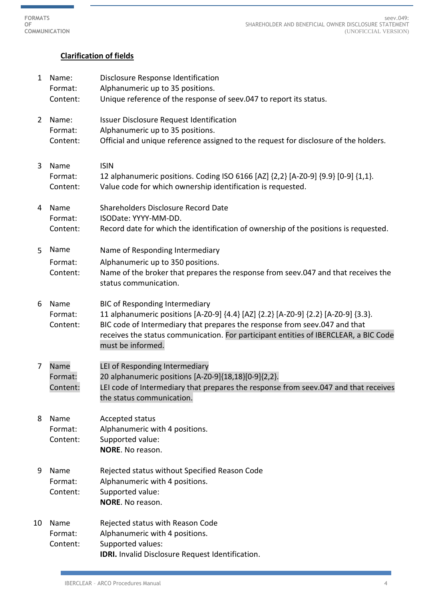**FORMATS OF COMMUNICATION**

seev.049: SHAREHOLDER AND BENEFICIAL OWNER DISCLOSURE STATEMENT (UNOFICCIAL VERSION)

# **Clarification of fields**

| 1  | Name:<br>Format:<br>Content: | Disclosure Response Identification<br>Alphanumeric up to 35 positions.<br>Unique reference of the response of seev.047 to report its status.                                                                                                                                                                           |
|----|------------------------------|------------------------------------------------------------------------------------------------------------------------------------------------------------------------------------------------------------------------------------------------------------------------------------------------------------------------|
| 2  | Name:<br>Format:<br>Content: | <b>Issuer Disclosure Request Identification</b><br>Alphanumeric up to 35 positions.<br>Official and unique reference assigned to the request for disclosure of the holders.                                                                                                                                            |
| 3  | Name<br>Format:<br>Content:  | <b>ISIN</b><br>12 alphanumeric positions. Coding ISO 6166 [AZ] {2,2} [A-ZO-9] {9.9} [0-9] {1,1}.<br>Value code for which ownership identification is requested.                                                                                                                                                        |
| 4  | Name<br>Format:<br>Content:  | Shareholders Disclosure Record Date<br>ISODate: YYYY-MM-DD.<br>Record date for which the identification of ownership of the positions is requested.                                                                                                                                                                    |
| 5. | Name<br>Format:<br>Content:  | Name of Responding Intermediary<br>Alphanumeric up to 350 positions.<br>Name of the broker that prepares the response from seev.047 and that receives the<br>status communication.                                                                                                                                     |
| 6  | Name<br>Format:<br>Content:  | <b>BIC of Responding Intermediary</b><br>11 alphanumeric positions [A-Z0-9] {4.4} [AZ] {2.2} [A-Z0-9] {2.2} [A-Z0-9] {3.3}.<br>BIC code of Intermediary that prepares the response from seev.047 and that<br>receives the status communication. For participant entities of IBERCLEAR, a BIC Code<br>must be informed. |
| 7  | Name<br>Format:<br>Content:  | LEI of Responding Intermediary<br>20 alphanumeric positions [A-Z0-9]{18,18}[0-9]{2,2}.<br>LEI code of Intermediary that prepares the response from seev.047 and that receives<br>the status communication.                                                                                                             |
| 8  | Name<br>Format:<br>Content:  | Accepted status<br>Alphanumeric with 4 positions.<br>Supported value:<br>NORE. No reason.                                                                                                                                                                                                                              |
| 9  | Name<br>Format:<br>Content:  | Rejected status without Specified Reason Code<br>Alphanumeric with 4 positions.<br>Supported value:<br>NORE. No reason.                                                                                                                                                                                                |
| 10 | Name<br>Format:<br>Content:  | Rejected status with Reason Code<br>Alphanumeric with 4 positions.<br>Supported values:<br>IDRI. Invalid Disclosure Request Identification.                                                                                                                                                                            |